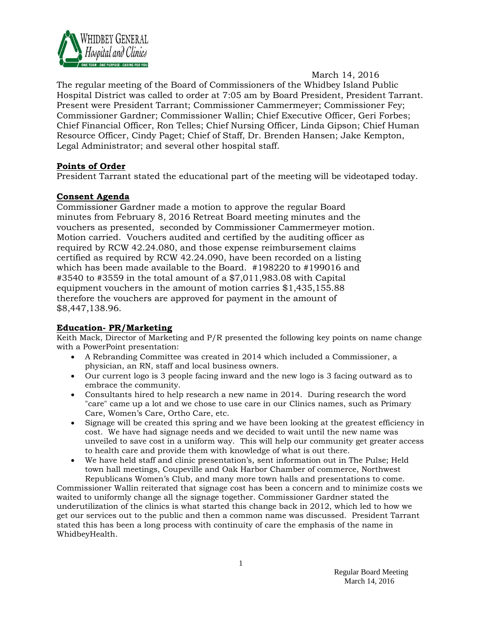

#### March 14, 2016

The regular meeting of the Board of Commissioners of the Whidbey Island Public Hospital District was called to order at 7:05 am by Board President, President Tarrant. Present were President Tarrant; Commissioner Cammermeyer; Commissioner Fey; Commissioner Gardner; Commissioner Wallin; Chief Executive Officer, Geri Forbes; Chief Financial Officer, Ron Telles; Chief Nursing Officer, Linda Gipson; Chief Human Resource Officer, Cindy Paget; Chief of Staff, Dr. Brenden Hansen; Jake Kempton, Legal Administrator; and several other hospital staff.

#### **Points of Order**

President Tarrant stated the educational part of the meeting will be videotaped today.

# **Consent Agenda**

Commissioner Gardner made a motion to approve the regular Board minutes from February 8, 2016 Retreat Board meeting minutes and the vouchers as presented, seconded by Commissioner Cammermeyer motion. Motion carried. Vouchers audited and certified by the auditing officer as required by RCW 42.24.080, and those expense reimbursement claims certified as required by RCW 42.24.090, have been recorded on a listing which has been made available to the Board. #198220 to #199016 and #3540 to #3559 in the total amount of a \$7,011,983.08 with Capital equipment vouchers in the amount of motion carries \$1,435,155.88 therefore the vouchers are approved for payment in the amount of \$8,447,138.96.

#### **Education- PR/Marketing**

Keith Mack, Director of Marketing and P/R presented the following key points on name change with a PowerPoint presentation:

- A Rebranding Committee was created in 2014 which included a Commissioner, a physician, an RN, staff and local business owners.
- Our current logo is 3 people facing inward and the new logo is 3 facing outward as to embrace the community.
- Consultants hired to help research a new name in 2014. During research the word "care" came up a lot and we chose to use care in our Clinics names, such as Primary Care, Women's Care, Ortho Care, etc.
- Signage will be created this spring and we have been looking at the greatest efficiency in cost. We have had signage needs and we decided to wait until the new name was unveiled to save cost in a uniform way. This will help our community get greater access to health care and provide them with knowledge of what is out there.
- We have held staff and clinic presentation's, sent information out in The Pulse; Held town hall meetings, Coupeville and Oak Harbor Chamber of commerce, Northwest Republicans Women's Club, and many more town halls and presentations to come.

Commissioner Wallin reiterated that signage cost has been a concern and to minimize costs we waited to uniformly change all the signage together. Commissioner Gardner stated the underutilization of the clinics is what started this change back in 2012, which led to how we get our services out to the public and then a common name was discussed. President Tarrant stated this has been a long process with continuity of care the emphasis of the name in WhidbeyHealth.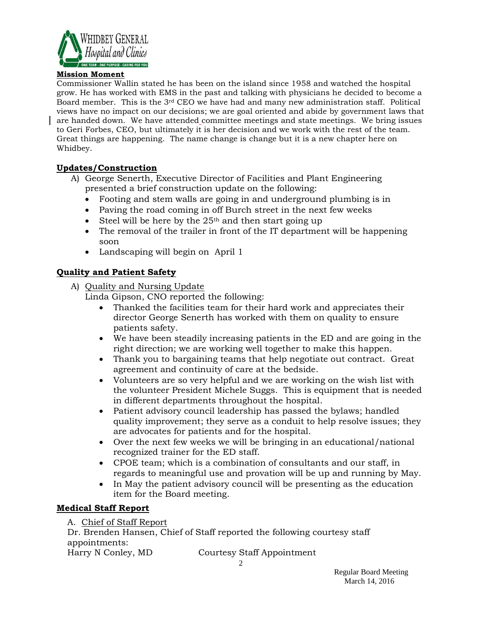

#### **Mission Moment**

Commissioner Wallin stated he has been on the island since 1958 and watched the hospital grow. He has worked with EMS in the past and talking with physicians he decided to become a Board member. This is the 3rd CEO we have had and many new administration staff. Political views have no impact on our decisions; we are goal oriented and abide by government laws that are handed down. We have attended committee meetings and state meetings. We bring issues to Geri Forbes, CEO, but ultimately it is her decision and we work with the rest of the team. Great things are happening. The name change is change but it is a new chapter here on Whidbey.

#### **Updates/Construction**

- A) George Senerth, Executive Director of Facilities and Plant Engineering presented a brief construction update on the following:
	- Footing and stem walls are going in and underground plumbing is in
	- Paving the road coming in off Burch street in the next few weeks
	- Steel will be here by the  $25<sup>th</sup>$  and then start going up
	- The removal of the trailer in front of the IT department will be happening soon
	- Landscaping will begin on April 1

# **Quality and Patient Safety**

- A) Quality and Nursing Update
	- Linda Gipson, CNO reported the following:
		- Thanked the facilities team for their hard work and appreciates their director George Senerth has worked with them on quality to ensure patients safety.
		- We have been steadily increasing patients in the ED and are going in the right direction; we are working well together to make this happen.
		- Thank you to bargaining teams that help negotiate out contract. Great agreement and continuity of care at the bedside.
		- Volunteers are so very helpful and we are working on the wish list with the volunteer President Michele Suggs. This is equipment that is needed in different departments throughout the hospital.
		- Patient advisory council leadership has passed the bylaws; handled quality improvement; they serve as a conduit to help resolve issues; they are advocates for patients and for the hospital.
		- Over the next few weeks we will be bringing in an educational/national recognized trainer for the ED staff.
		- CPOE team; which is a combination of consultants and our staff, in regards to meaningful use and provation will be up and running by May.
		- In May the patient advisory council will be presenting as the education item for the Board meeting.

# **Medical Staff Report**

A. Chief of Staff Report

Dr. Brenden Hansen, Chief of Staff reported the following courtesy staff appointments:

Harry N Conley, MD Courtesy Staff Appointment

2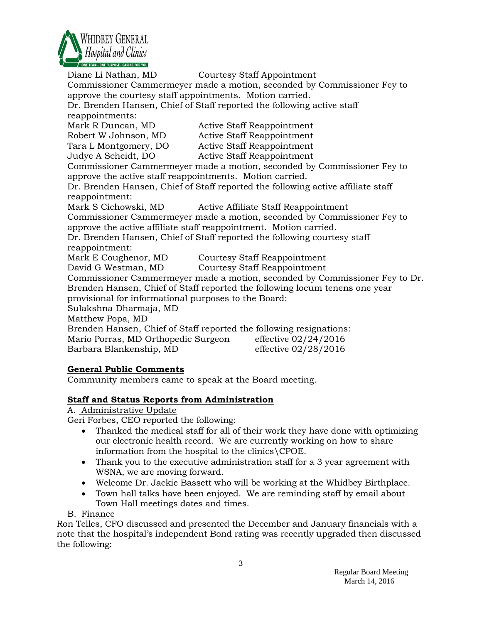

Diane Li Nathan, MD Courtesy Staff Appointment Commissioner Cammermeyer made a motion, seconded by Commissioner Fey to approve the courtesy staff appointments. Motion carried. Dr. Brenden Hansen, Chief of Staff reported the following active staff reappointments: Mark R Duncan, MD Active Staff Reappointment Robert W Johnson, MD Active Staff Reappointment Tara L Montgomery, DO Active Staff Reappointment Judye A Scheidt, DO Active Staff Reappointment Commissioner Cammermeyer made a motion, seconded by Commissioner Fey to approve the active staff reappointments. Motion carried. Dr. Brenden Hansen, Chief of Staff reported the following active affiliate staff reappointment: Mark S Cichowski, MD Active Affiliate Staff Reappointment Commissioner Cammermeyer made a motion, seconded by Commissioner Fey to approve the active affiliate staff reappointment. Motion carried. Dr. Brenden Hansen, Chief of Staff reported the following courtesy staff reappointment: Mark E Coughenor, MD Courtesy Staff Reappointment David G Westman, MD Courtesy Staff Reappointment Commissioner Cammermeyer made a motion, seconded by Commissioner Fey to Dr. Brenden Hansen, Chief of Staff reported the following locum tenens one year provisional for informational purposes to the Board: Sulakshna Dharmaja, MD Matthew Popa, MD Brenden Hansen, Chief of Staff reported the following resignations: Mario Porras, MD Orthopedic Surgeon effective 02/24/2016 Barbara Blankenship, MD effective 02/28/2016 **General Public Comments**

Community members came to speak at the Board meeting.

# **Staff and Status Reports from Administration**

A. Administrative Update

Geri Forbes, CEO reported the following:

- Thanked the medical staff for all of their work they have done with optimizing our electronic health record. We are currently working on how to share information from the hospital to the clinics\CPOE.
- Thank you to the executive administration staff for a 3 year agreement with WSNA, we are moving forward.
- Welcome Dr. Jackie Bassett who will be working at the Whidbey Birthplace.
- Town hall talks have been enjoyed. We are reminding staff by email about Town Hall meetings dates and times.
- B. Finance

Ron Telles, CFO discussed and presented the December and January financials with a note that the hospital's independent Bond rating was recently upgraded then discussed the following: